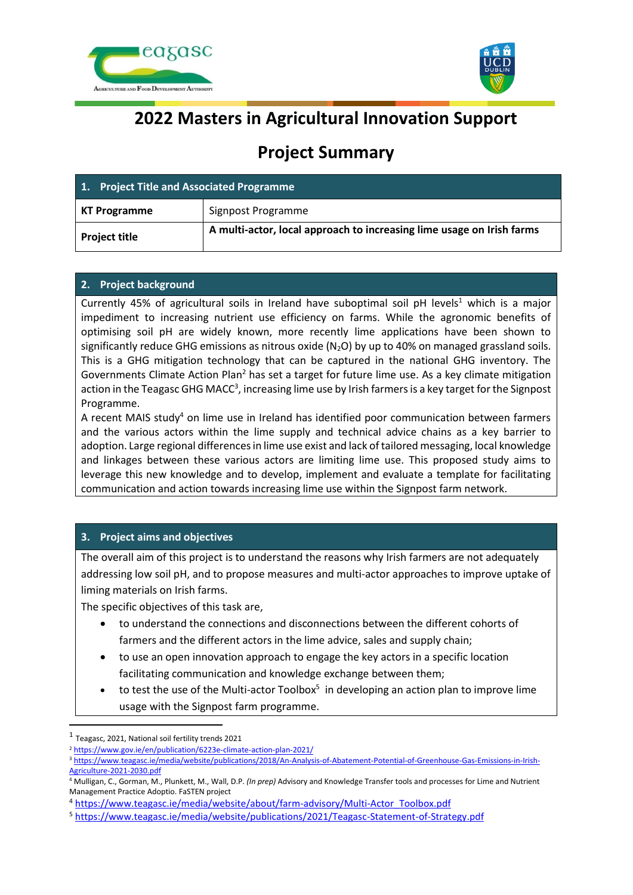



# **2022 Masters in Agricultural Innovation Support**

# **Project Summary**

| 1. Project Title and Associated Programme |                                                                       |
|-------------------------------------------|-----------------------------------------------------------------------|
| <b>KT Programme</b>                       | Signpost Programme                                                    |
| <b>Project title</b>                      | A multi-actor, local approach to increasing lime usage on Irish farms |

# **2. Project background**

Currently 45% of agricultural soils in Ireland have suboptimal soil pH levels<sup>1</sup> which is a major impediment to increasing nutrient use efficiency on farms. While the agronomic benefits of optimising soil pH are widely known, more recently lime applications have been shown to significantly reduce GHG emissions as nitrous oxide  $(N_2O)$  by up to 40% on managed grassland soils. This is a GHG mitigation technology that can be captured in the national GHG inventory. The Governments Climate Action Plan<sup>2</sup> has set a target for future lime use. As a key climate mitigation action in the Teagasc GHG MACC<sup>3</sup>, increasing lime use by Irish farmers is a key target for the Signpost Programme.

A recent MAIS study<sup>4</sup> on lime use in Ireland has identified poor communication between farmers and the various actors within the lime supply and technical advice chains as a key barrier to adoption. Large regional differences in lime use exist and lack of tailored messaging, local knowledge and linkages between these various actors are limiting lime use. This proposed study aims to leverage this new knowledge and to develop, implement and evaluate a template for facilitating communication and action towards increasing lime use within the Signpost farm network.

# **3. Project aims and objectives**

The overall aim of this project is to understand the reasons why Irish farmers are not adequately addressing low soil pH, and to propose measures and multi-actor approaches to improve uptake of liming materials on Irish farms.

The specific objectives of this task are,

- to understand the connections and disconnections between the different cohorts of farmers and the different actors in the lime advice, sales and supply chain;
- to use an open innovation approach to engage the key actors in a specific location facilitating communication and knowledge exchange between them;
- $\bullet$  to test the use of the Multi-actor Toolbox<sup>5</sup> in developing an action plan to improve lime usage with the Signpost farm programme.

<sup>1</sup> Teagasc, 2021, National soil fertility trends 2021

<sup>&</sup>lt;sup>2</sup> <https://www.gov.ie/en/publication/6223e-climate-action-plan-2021/>

<sup>3</sup> [https://www.teagasc.ie/media/website/publications/2018/An-Analysis-of-Abatement-Potential-of-Greenhouse-Gas-Emissions-in-Irish-](https://www.teagasc.ie/media/website/publications/2018/An-Analysis-of-Abatement-Potential-of-Greenhouse-Gas-Emissions-in-Irish-Agriculture-2021-2030.pdf)[Agriculture-2021-2030.pdf](https://www.teagasc.ie/media/website/publications/2018/An-Analysis-of-Abatement-Potential-of-Greenhouse-Gas-Emissions-in-Irish-Agriculture-2021-2030.pdf)

<sup>4</sup> Mulligan, C., Gorman, M., Plunkett, M., Wall, D.P. *(In prep)* Advisory and Knowledge Transfer tools and processes for Lime and Nutrient Management Practice Adoptio. FaSTEN project

<sup>4</sup> [https://www.teagasc.ie/media/website/about/farm-advisory/Multi-Actor\\_Toolbox.pdf](https://www.teagasc.ie/media/website/about/farm-advisory/Multi-Actor_Toolbox.pdf)

<sup>5</sup> <https://www.teagasc.ie/media/website/publications/2021/Teagasc-Statement-of-Strategy.pdf>